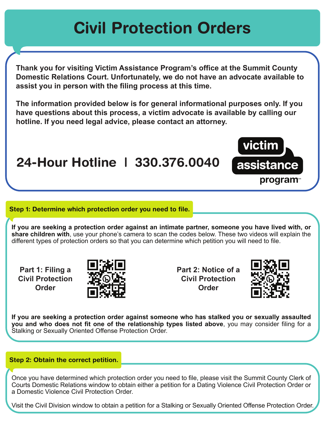# **Civil Protection Orders**

**Thank you for visiting Victim Assistance Program's office at the Summit County Domestic Relations Court. Unfortunately, we do not have an advocate available to assist you in person with the filing process at this time.**

**The information provided below is for general informational purposes only. If you have questions about this process, a victim advocate is available by calling our hotline. If you need legal advice, please contact an attorney.**

# **24-Hour Hotline | 330.376.0040**

## **Step 1: Determine which protection order you need to file.**

**If you are seeking a protection order against an intimate partner, someone you have lived with, or share children with**, use your phone's camera to scan the codes below. These two videos will explain the different types of protection orders so that you can determine which petition you will need to file.

**Part 1: Filing a Civil Protection Order**



**Part 2: Notice of a Civil Protection Order**



victim

assistance

program<sup>®</sup>

**If you are seeking a protection order against someone who has stalked you or sexually assaulted you and who does not fit one of the relationship types listed above**, you may consider filing for a Stalking or Sexually Oriented Offense Protection Order.

# **Step 2: Obtain the correct petition.**

Once you have determined which protection order you need to file, please visit the Summit County Clerk of Courts Domestic Relations window to obtain either a petition for a Dating Violence Civil Protection Order or a Domestic Violence Civil Protection Order.

Visit the Civil Division window to obtain a petition for a Stalking or Sexually Oriented Offense Protection Order.